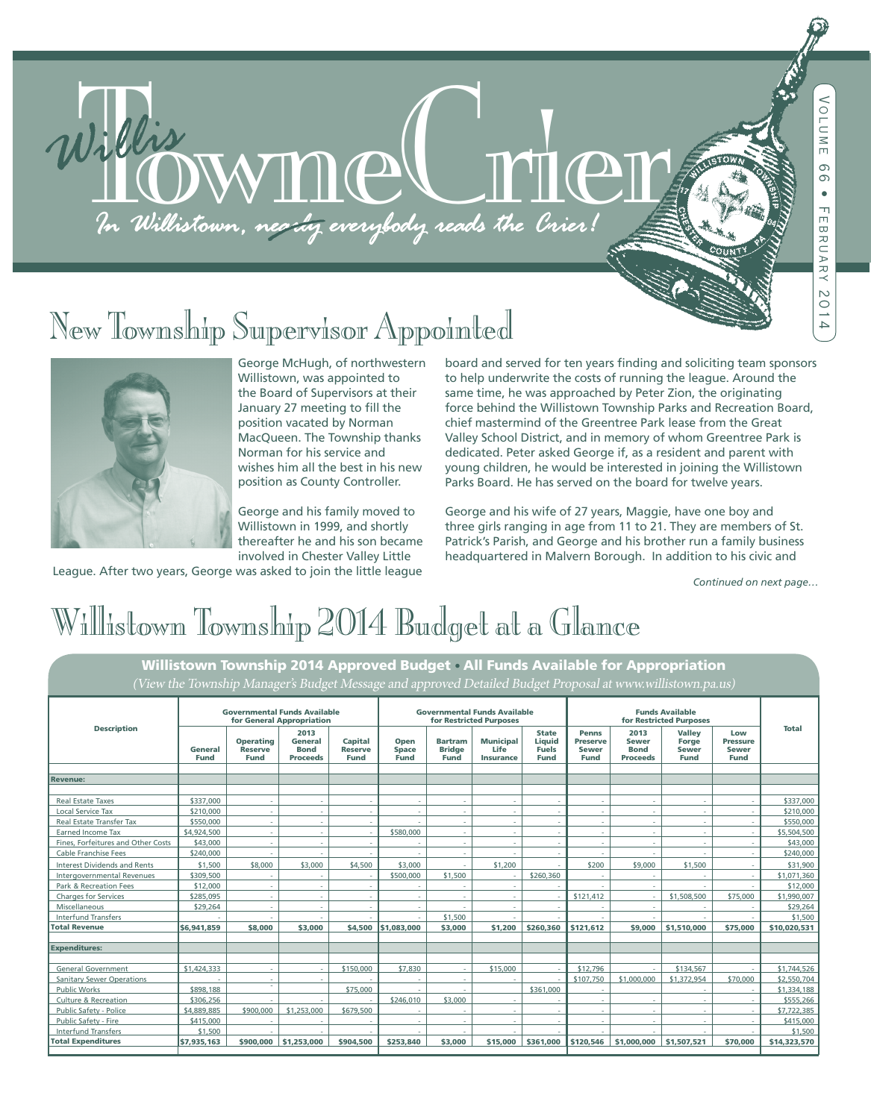# In Willistown, neachg everybody reads the Crier!

# The Weather Supervisor Appointed The Township Supervisor Appointed Control of the Township George McHugh, of northwestern board and set



George McHugh, of northwestern Willistown, was appointed to the Board of Supervisors at their January 27 meeting to fill the position vacated by Norman MacQueen. The Township thanks Norman for his service and wishes him all the best in his new position as County Controller.

George and his family moved to Willistown in 1999, and shortly thereafter he and his son became involved in Chester Valley Little

League. After two years, George was asked to join the little league

board and served for ten years finding and soliciting team sponsors to help underwrite the costs of running the league. Around the same time, he was approached by Peter Zion, the originating force behind the Willistown Township Parks and Recreation Board, chief mastermind of the Greentree Park lease from the Great Valley School District, and in memory of whom Greentree Park is dedicated. Peter asked George if, as a resident and parent with young children, he would be interested in joining the Willistown Parks Board. He has served on the board for twelve years.

George and his wife of 27 years, Maggie, have one boy and three girls ranging in age from 11 to 21. They are members of St. Patrick's Parish, and George and his brother run a family business headquartered in Malvern Borough. In addition to his civic and

*Continued on next page…*

# Willistown Township 2014 Budget at a Glance

Willistown Township 2014 Approved Budget • All Funds Available for Appropriation (View the Township Manager's Budget Message and approved Detailed Budget Proposal at www.willistown.pa.us)

| <b>Description</b>                  | <b>Governmental Funds Available</b><br>for General Appropriation |                                                   |                                                   |                                          | <b>Governmental Funds Available</b><br>for Restricted Purposes |                                         |                                              |                                                       | <b>Funds Available</b><br>for Restricted Purposes              |                                                        |                                                       |                                                       |              |
|-------------------------------------|------------------------------------------------------------------|---------------------------------------------------|---------------------------------------------------|------------------------------------------|----------------------------------------------------------------|-----------------------------------------|----------------------------------------------|-------------------------------------------------------|----------------------------------------------------------------|--------------------------------------------------------|-------------------------------------------------------|-------------------------------------------------------|--------------|
|                                     | General<br><b>Fund</b>                                           | <b>Operating</b><br><b>Reserve</b><br><b>Fund</b> | 2013<br>General<br><b>Bond</b><br><b>Proceeds</b> | Capital<br><b>Reserve</b><br><b>Fund</b> | Open<br><b>Space</b><br><b>Fund</b>                            | <b>Bartram</b><br><b>Bridge</b><br>Fund | <b>Municipal</b><br>Life<br><b>Insurance</b> | <b>State</b><br>Liquid<br><b>Fuels</b><br><b>Fund</b> | <b>Penns</b><br><b>Preserve</b><br><b>Sewer</b><br><b>Fund</b> | 2013<br><b>Sewer</b><br><b>Bond</b><br><b>Proceeds</b> | <b>Valley</b><br>Forge<br><b>Sewer</b><br><b>Fund</b> | Low<br><b>Pressure</b><br><b>Sewer</b><br><b>Fund</b> | <b>Total</b> |
|                                     |                                                                  |                                                   |                                                   |                                          |                                                                |                                         |                                              |                                                       |                                                                |                                                        |                                                       |                                                       |              |
| <b>Revenue:</b>                     |                                                                  |                                                   |                                                   |                                          |                                                                |                                         |                                              |                                                       |                                                                |                                                        |                                                       |                                                       |              |
|                                     |                                                                  |                                                   |                                                   |                                          |                                                                |                                         |                                              |                                                       |                                                                |                                                        |                                                       |                                                       |              |
| <b>Real Estate Taxes</b>            | \$337.000                                                        | ٠                                                 | $\sim$                                            |                                          | $\sim$                                                         | ٠                                       | ÷.                                           | $\sim$                                                | ×.                                                             | $\sim$                                                 | ٠                                                     | $\sim$                                                | \$337,000    |
| <b>Local Service Tax</b>            | \$210,000                                                        | $\sim$                                            | $\sim$                                            |                                          | $\sim$                                                         | $\sim$                                  | a.                                           |                                                       | <b>1999</b>                                                    | a.                                                     | ٠                                                     | ×.                                                    | \$210,000    |
| Real Estate Transfer Tax            | \$550,000                                                        | ٠                                                 | $\overline{\phantom{a}}$                          |                                          |                                                                | $\overline{\phantom{a}}$                | $\sim$                                       |                                                       |                                                                | $\sim$                                                 | ٠                                                     | $\sim$                                                | \$550,000    |
| Earned Income Tax                   | \$4,924,500                                                      | ٠                                                 | $\overline{\phantom{a}}$                          |                                          | \$580,000                                                      | ٠                                       | $\sim$                                       |                                                       |                                                                |                                                        |                                                       | $\sim$                                                | \$5,504,500  |
| Fines, Forfeitures and Other Costs  | \$43,000                                                         | ٠                                                 | $\sim$                                            |                                          |                                                                | ٠                                       | $\sim$                                       |                                                       |                                                                | $\sim$                                                 | ٠                                                     | $\sim$                                                | \$43,000     |
| Cable Franchise Fees                | \$240,000                                                        |                                                   |                                                   |                                          |                                                                | ÷.                                      | i.                                           |                                                       |                                                                |                                                        |                                                       | $\sim$                                                | \$240,000    |
| <b>Interest Dividends and Rents</b> | \$1,500                                                          | \$8,000                                           | \$3,000                                           | \$4,500                                  | \$3,000                                                        | ÷.                                      | \$1,200                                      |                                                       | \$200                                                          | \$9,000                                                | \$1,500                                               | ×.                                                    | \$31,900     |
| Intergovernmental Revenues          | \$309,500                                                        |                                                   | $\sim$                                            | ×.                                       | \$500,000                                                      | \$1,500                                 | ÷.                                           | \$260,360                                             |                                                                | a.                                                     |                                                       | $\sim$                                                | \$1,071,360  |
| Park & Recreation Fees              | \$12,000                                                         | ٠                                                 | $\sim$                                            |                                          | $\sim$                                                         | ٠                                       | $\sim$                                       |                                                       |                                                                | a.                                                     |                                                       |                                                       | \$12,000     |
| <b>Charges for Services</b>         | \$285,095                                                        | ×.                                                | $\sim$                                            |                                          | $\sim$                                                         | $\sim$                                  | $\sim$                                       | $\sim$                                                | \$121,412                                                      | ×.                                                     | \$1,508,500                                           | \$75,000                                              | \$1,990,007  |
| Miscellaneous                       | \$29,264                                                         | ×.                                                | $\sim$                                            |                                          | $\sim$                                                         | $\overline{\phantom{a}}$                | $\sim$                                       |                                                       |                                                                | $\sim$                                                 | $\sim$                                                | $\sim$                                                | \$29,264     |
| <b>Interfund Transfers</b>          |                                                                  | $\overline{\phantom{a}}$                          |                                                   |                                          | $\sim$                                                         | \$1,500                                 | $\sim$                                       |                                                       |                                                                |                                                        |                                                       |                                                       | \$1,500      |
| <b>Total Revenue</b>                | \$6,941,859                                                      | \$8,000                                           | \$3,000                                           |                                          | \$4,500 51,083,000                                             | \$3,000                                 | \$1,200                                      | \$260,360                                             | \$121,612                                                      |                                                        | $$9,000$ \$1,510,000                                  | \$75,000                                              | \$10,020,531 |
|                                     |                                                                  |                                                   |                                                   |                                          |                                                                |                                         |                                              |                                                       |                                                                |                                                        |                                                       |                                                       |              |
| <b>Expenditures:</b>                |                                                                  |                                                   |                                                   |                                          |                                                                |                                         |                                              |                                                       |                                                                |                                                        |                                                       |                                                       |              |
|                                     |                                                                  |                                                   |                                                   |                                          |                                                                |                                         |                                              |                                                       |                                                                |                                                        |                                                       |                                                       |              |
| <b>General Government</b>           | \$1,424,333                                                      |                                                   | $\sim$                                            | \$150,000                                | \$7,830                                                        | $\sim$                                  | \$15,000                                     | $\overline{\phantom{a}}$                              | \$12,796                                                       |                                                        | \$134,567                                             | $\sim$                                                | \$1,744.526  |
| <b>Sanitary Sewer Operations</b>    |                                                                  | ×.                                                | $\sim$                                            |                                          | $\sim$                                                         | $\sim$                                  | ÷.                                           |                                                       | \$107,750                                                      | \$1,000,000                                            | \$1,372,954                                           | \$70,000                                              | \$2,550,704  |
| <b>Public Works</b>                 | \$898,188                                                        |                                                   |                                                   | \$75,000                                 | $\sim$                                                         | $\overline{\phantom{a}}$                |                                              | \$361,000                                             |                                                                |                                                        | ٠                                                     | $\sim$                                                | \$1,334,188  |
| <b>Culture &amp; Recreation</b>     | \$306,256                                                        | ×                                                 | $\overline{\phantom{a}}$                          |                                          | \$246,010                                                      | \$3,000                                 | ×.                                           |                                                       | <b>A</b>                                                       | ×.                                                     | ٠                                                     | $\sim$                                                | \$555,266    |
| Public Safety - Police              | \$4,889,885                                                      | \$900,000                                         | \$1,253,000                                       | \$679,500                                |                                                                | ٠                                       | $\sim$                                       |                                                       | ×.                                                             |                                                        | ٠                                                     | $\sim$                                                | \$7,722,385  |
| Public Safety - Fire                | \$415,000                                                        | -                                                 |                                                   |                                          | $\sim$                                                         | ÷.                                      | ÷.                                           |                                                       |                                                                |                                                        |                                                       | $\sim$                                                | \$415,000    |
| <b>Interfund Transfers</b>          | \$1,500                                                          | ٠                                                 | ٠                                                 |                                          | $\sim$                                                         | ÷.                                      | $\sim$                                       |                                                       |                                                                |                                                        |                                                       |                                                       | \$1,500      |
| <b>Total Expenditures</b>           | \$7,935,163                                                      | \$900,000                                         | \$1,253,000                                       | \$904,500                                | \$253,840                                                      | \$3,000                                 | \$15,000                                     | \$361,000                                             | \$120,546                                                      | \$1,000,000                                            | \$1,507,521                                           | \$70,000                                              | \$14,323,570 |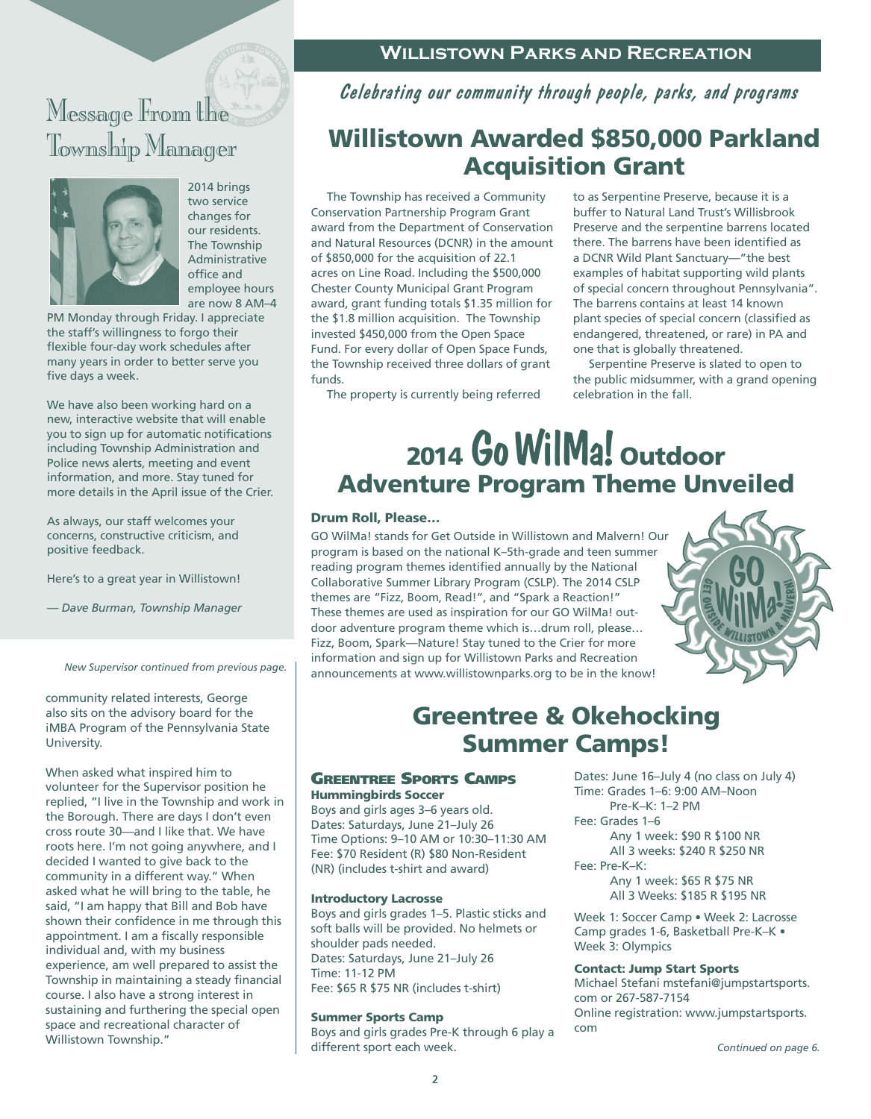# wessage rrom the Township Manager



2014 brings two service changes for our residents. The Township Administrative office and employee hours are now 8 AM–4

PM Monday through Friday. I appreciate the staff's willingness to forgo their flexible four-day work schedules after many years in order to better serve you five days a week.

We have also been working hard on a new, interactive website that will enable you to sign up for automatic notifications including Township Administration and Police news alerts, meeting and event information, and more. Stay tuned for more details in the April issue of the Crier.

As always, our staff welcomes your concerns, constructive criticism, and positive feedback.

Here's to a great year in Willistown!

*— Dave Burman, Township Manager*

*New Supervisor continued from previous page.*

community related interests, George also sits on the advisory board for the iMBA Program of the Pennsylvania State University.

When asked what inspired him to volunteer for the Supervisor position he replied, "I live in the Township and work in the Borough. There are days I don't even cross route 30—and I like that. We have roots here. I'm not going anywhere, and I decided I wanted to give back to the community in a different way." When asked what he will bring to the table, he said, "I am happy that Bill and Bob have shown their confidence in me through this appointment. I am a fiscally responsible individual and, with my business experience, am well prepared to assist the Township in maintaining a steady financial course. I also have a strong interest in sustaining and furthering the special open space and recreational character of Willistown Township."

## **Willistown Parks and Recreation**

Celebrating our community through people, parks, and programs

# Willistown Awarded \$850,000 Parkland Acquisition Grant

 The Township has received a Community Conservation Partnership Program Grant award from the Department of Conservation and Natural Resources (DCNR) in the amount of \$850,000 for the acquisition of 22.1 acres on Line Road. Including the \$500,000 Chester County Municipal Grant Program award, grant funding totals \$1.35 million for the \$1.8 million acquisition. The Township invested \$450,000 from the Open Space Fund. For every dollar of Open Space Funds, the Township received three dollars of grant funds.

The property is currently being referred

to as Serpentine Preserve, because it is a buffer to Natural Land Trust's Willisbrook Preserve and the serpentine barrens located there. The barrens have been identified as a DCNR Wild Plant Sanctuary—"the best examples of habitat supporting wild plants of special concern throughout Pennsylvania". The barrens contains at least 14 known plant species of special concern (classified as endangered, threatened, or rare) in PA and one that is globally threatened.

 Serpentine Preserve is slated to open to the public midsummer, with a grand opening celebration in the fall.

# 2014 Go WilMa! Outdoor Adventure Program Theme Unveiled

#### Drum Roll, Please…

GO WilMa! stands for Get Outside in Willistown and Malvern! Our program is based on the national K–5th-grade and teen summer reading program themes identified annually by the National Collaborative Summer Library Program (CSLP). The 2014 CSLP themes are "Fizz, Boom, Read!", and "Spark a Reaction!" These themes are used as inspiration for our GO WilMa! outdoor adventure program theme which is…drum roll, please… Fizz, Boom, Spark—Nature! Stay tuned to the Crier for more information and sign up for Willistown Parks and Recreation announcements at www.willistownparks.org to be in the know!



# Greentree & Okehocking Summer Camps!

#### Greentree Sports Camps Hummingbirds Soccer

Boys and girls ages 3–6 years old. Dates: Saturdays, June 21–July 26 Time Options: 9–10 AM or 10:30–11:30 AM Fee: \$70 Resident (R) \$80 Non-Resident (NR) (includes t-shirt and award)

#### Introductory Lacrosse

Boys and girls grades 1–5. Plastic sticks and soft balls will be provided. No helmets or shoulder pads needed. Dates: Saturdays, June 21–July 26 Time: 11-12 PM Fee: \$65 R \$75 NR (includes t-shirt)

#### Summer Sports Camp

Boys and girls grades Pre-K through 6 play a different sport each week.

Dates: June 16–July 4 (no class on July 4) Time: Grades 1–6: 9:00 AM–Noon Pre-K–K: 1–2 PM Fee: Grades 1–6 Any 1 week: \$90 R \$100 NR All 3 weeks: \$240 R \$250 NR Fee: Pre-K–K: Any 1 week: \$65 R \$75 NR

All 3 Weeks: \$185 R \$195 NR

Week 1: Soccer Camp • Week 2: Lacrosse Camp grades 1-6, Basketball Pre-K–K • Week 3: Olympics

#### Contact: Jump Start Sports

Michael Stefani mstefani@jumpstartsports. com or 267-587-7154 Online registration: www.jumpstartsports. com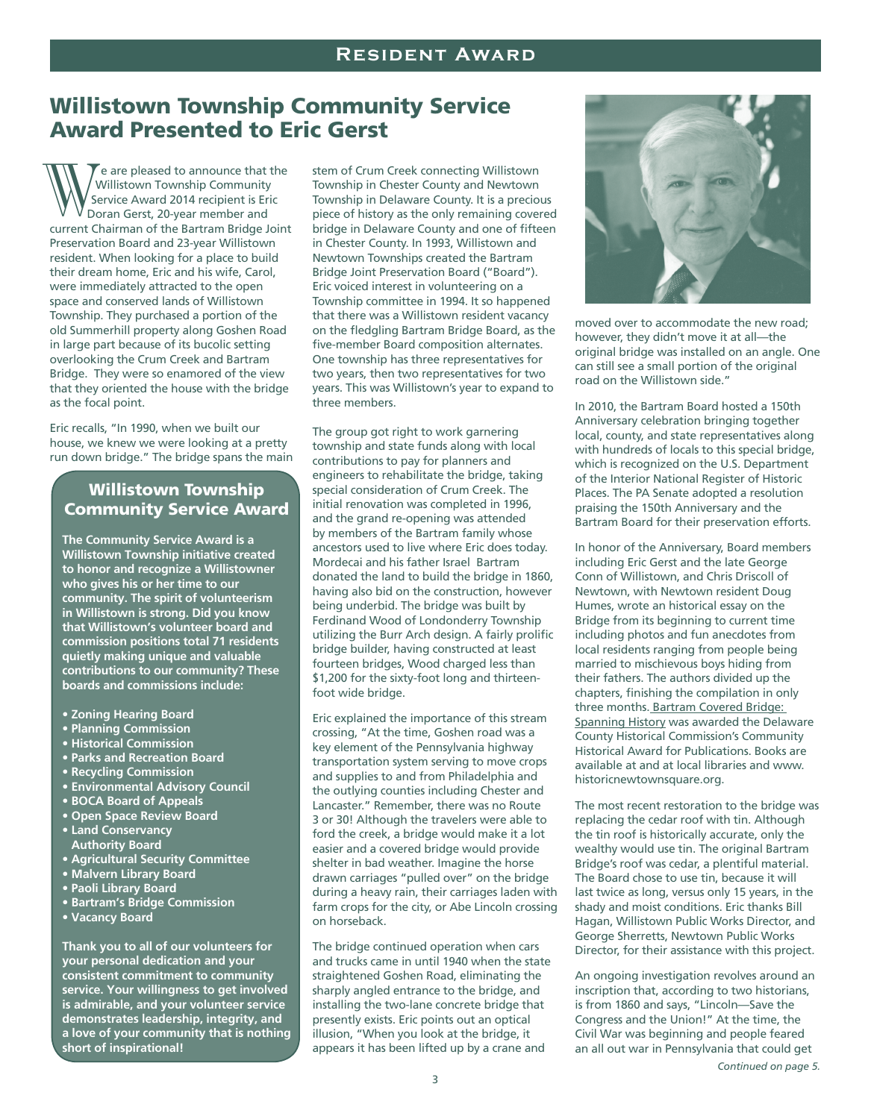# Willistown Township Community Service Award Presented to Eric Gerst

 $\tau$ e are pleased to announce that the Willistown Township Community Service Award 2014 recipient is Eric Doran Gerst, 20-year member and current Chairman of the Bartram Bridge Joint Preservation Board and 23-year Willistown resident. When looking for a place to build their dream home, Eric and his wife, Carol, were immediately attracted to the open space and conserved lands of Willistown Township. They purchased a portion of the old Summerhill property along Goshen Road in large part because of its bucolic setting overlooking the Crum Creek and Bartram Bridge. They were so enamored of the view that they oriented the house with the bridge as the focal point.  $\bigvee_{\substack{\text{D}\text{c}}\text{current}}$  C<br>Preservati<br>resident.<br>their drea

Eric recalls, "In 1990, when we built our house, we knew we were looking at a pretty run down bridge." The bridge spans the main

### Willistown Township Community Service Award

**The Community Service Award is a Willistown Township initiative created to honor and recognize a Willistowner who gives his or her time to our community. The spirit of volunteerism in Willistown is strong. Did you know that Willistown's volunteer board and commission positions total 71 residents quietly making unique and valuable contributions to our community? These boards and commissions include:**

- **Zoning Hearing Board**
- **Planning Commission**
- **Historical Commission**
- **Parks and Recreation Board**
- **Recycling Commission**
- **Environmental Advisory Council**
- **BOCA Board of Appeals**
- **Open Space Review Board**
- **Land Conservancy Authority Board**
- **Agricultural Security Committee**
- **Malvern Library Board**
- **Paoli Library Board**
- **Bartram's Bridge Commission**
- **Vacancy Board**

**Thank you to all of our volunteers for your personal dedication and your consistent commitment to community service. Your willingness to get involved is admirable, and your volunteer service demonstrates leadership, integrity, and a love of your community that is nothing short of inspirational!**

stem of Crum Creek connecting Willistown Township in Chester County and Newtown Township in Delaware County. It is a precious piece of history as the only remaining covered bridge in Delaware County and one of fifteen in Chester County. In 1993, Willistown and Newtown Townships created the Bartram Bridge Joint Preservation Board ("Board"). Eric voiced interest in volunteering on a Township committee in 1994. It so happened that there was a Willistown resident vacancy on the fledgling Bartram Bridge Board, as the five-member Board composition alternates. One township has three representatives for two years, then two representatives for two years. This was Willistown's year to expand to three members.

The group got right to work garnering township and state funds along with local contributions to pay for planners and engineers to rehabilitate the bridge, taking special consideration of Crum Creek. The initial renovation was completed in 1996, and the grand re-opening was attended by members of the Bartram family whose ancestors used to live where Eric does today. Mordecai and his father Israel Bartram donated the land to build the bridge in 1860, having also bid on the construction, however being underbid. The bridge was built by Ferdinand Wood of Londonderry Township utilizing the Burr Arch design. A fairly prolific bridge builder, having constructed at least fourteen bridges, Wood charged less than \$1,200 for the sixty-foot long and thirteenfoot wide bridge.

Eric explained the importance of this stream crossing, "At the time, Goshen road was a key element of the Pennsylvania highway transportation system serving to move crops and supplies to and from Philadelphia and the outlying counties including Chester and Lancaster." Remember, there was no Route 3 or 30! Although the travelers were able to ford the creek, a bridge would make it a lot easier and a covered bridge would provide shelter in bad weather. Imagine the horse drawn carriages "pulled over" on the bridge during a heavy rain, their carriages laden with farm crops for the city, or Abe Lincoln crossing on horseback.

The bridge continued operation when cars and trucks came in until 1940 when the state straightened Goshen Road, eliminating the sharply angled entrance to the bridge, and installing the two-lane concrete bridge that presently exists. Eric points out an optical illusion, "When you look at the bridge, it appears it has been lifted up by a crane and



moved over to accommodate the new road; however, they didn't move it at all—the original bridge was installed on an angle. One can still see a small portion of the original road on the Willistown side."

In 2010, the Bartram Board hosted a 150th Anniversary celebration bringing together local, county, and state representatives along with hundreds of locals to this special bridge, which is recognized on the U.S. Department of the Interior National Register of Historic Places. The PA Senate adopted a resolution praising the 150th Anniversary and the Bartram Board for their preservation efforts.

In honor of the Anniversary, Board members including Eric Gerst and the late George Conn of Willistown, and Chris Driscoll of Newtown, with Newtown resident Doug Humes, wrote an historical essay on the Bridge from its beginning to current time including photos and fun anecdotes from local residents ranging from people being married to mischievous boys hiding from their fathers. The authors divided up the chapters, finishing the compilation in only three months. Bartram Covered Bridge: Spanning History was awarded the Delaware County Historical Commission's Community Historical Award for Publications. Books are available at and at local libraries and www. historicnewtownsquare.org.

The most recent restoration to the bridge was replacing the cedar roof with tin. Although the tin roof is historically accurate, only the wealthy would use tin. The original Bartram Bridge's roof was cedar, a plentiful material. The Board chose to use tin, because it will last twice as long, versus only 15 years, in the shady and moist conditions. Eric thanks Bill Hagan, Willistown Public Works Director, and George Sherretts, Newtown Public Works Director, for their assistance with this project.

An ongoing investigation revolves around an inscription that, according to two historians, is from 1860 and says, "Lincoln—Save the Congress and the Union!" At the time, the Civil War was beginning and people feared an all out war in Pennsylvania that could get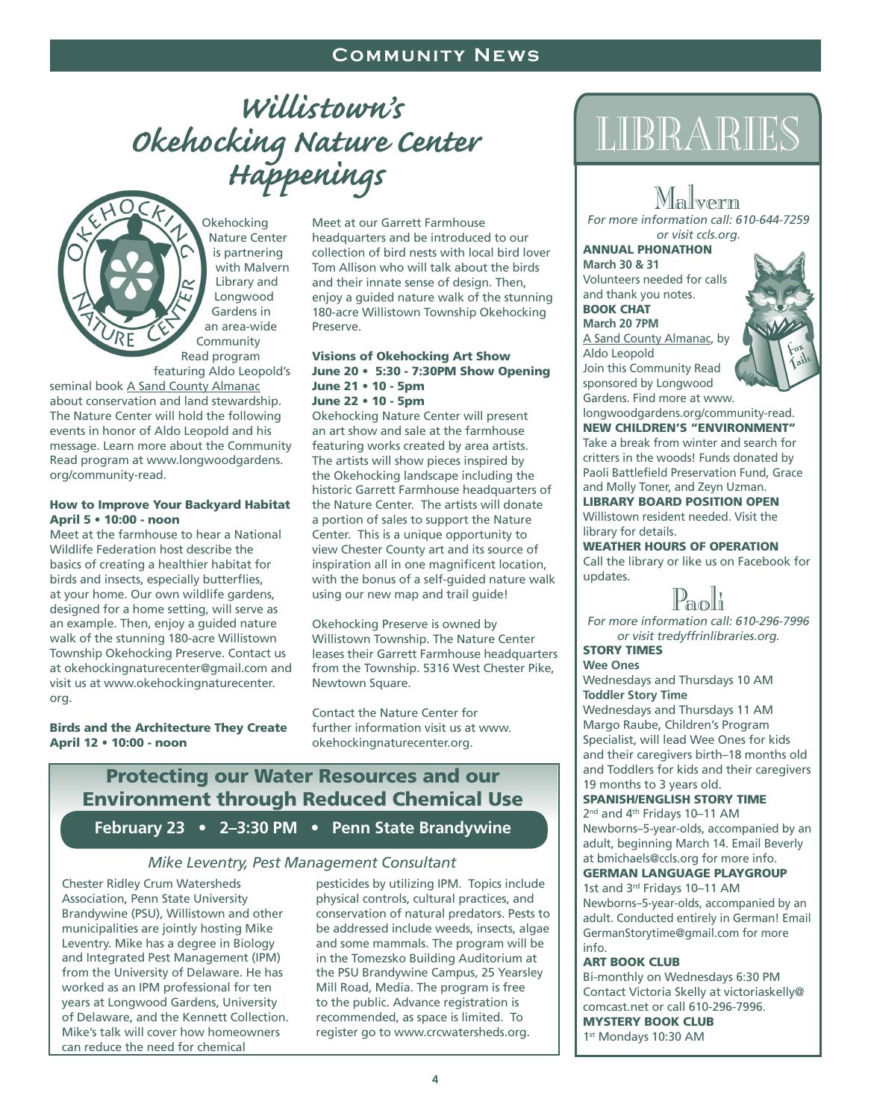# *Willistown's Okehocking Nature Center Happenings*

**Okehocking** Nature Center is partnering with Malvern Library and Longwood Gardens in an area-wide **Community** Read program featuring Aldo Leopold's

seminal book A Sand County Almanac about conservation and land stewardship. The Nature Center will hold the following events in honor of Aldo Leopold and his message. Learn more about the Community Read program at www.longwoodgardens. org/community-read.

#### How to Improve Your Backyard Habitat April 5 • 10:00 - noon

Meet at the farmhouse to hear a National Wildlife Federation host describe the basics of creating a healthier habitat for birds and insects, especially butterflies, at your home. Our own wildlife gardens, designed for a home setting, will serve as an example. Then, enjoy a guided nature walk of the stunning 180-acre Willistown Township Okehocking Preserve. Contact us at okehockingnaturecenter@gmail.com and visit us at www.okehockingnaturecenter. org.

#### Birds and the Architecture They Create April 12 • 10:00 - noon

Meet at our Garrett Farmhouse headquarters and be introduced to our collection of bird nests with local bird lover Tom Allison who will talk about the birds and their innate sense of design. Then, enjoy a guided nature walk of the stunning 180-acre Willistown Township Okehocking Preserve.

#### Visions of Okehocking Art Show June 20 • 5:30 - 7:30PM Show Opening June 21 • 10 - 5pm June 22 • 10 - 5pm

Okehocking Nature Center will present an art show and sale at the farmhouse featuring works created by area artists. The artists will show pieces inspired by the Okehocking landscape including the historic Garrett Farmhouse headquarters of the Nature Center. The artists will donate a portion of sales to support the Nature Center. This is a unique opportunity to view Chester County art and its source of inspiration all in one magnificent location, with the bonus of a self-guided nature walk using our new map and trail guide!

Okehocking Preserve is owned by Willistown Township. The Nature Center leases their Garrett Farmhouse headquarters from the Township. 5316 West Chester Pike, Newtown Square.

Contact the Nature Center for further information visit us at www. okehockingnaturecenter.org.

# Protecting our Water Resources and our Environment through Reduced Chemical Use

**February 23 • 2–3:30 PM • Penn State Brandywine**

#### *Mike Leventry, Pest Management Consultant*

Chester Ridley Crum Watersheds Association, Penn State University Brandywine (PSU), Willistown and other municipalities are jointly hosting Mike Leventry. Mike has a degree in Biology and Integrated Pest Management (IPM) from the University of Delaware. He has worked as an IPM professional for ten years at Longwood Gardens, University of Delaware, and the Kennett Collection. Mike's talk will cover how homeowners can reduce the need for chemical

pesticides by utilizing IPM. Topics include physical controls, cultural practices, and conservation of natural predators. Pests to be addressed include weeds, insects, algae and some mammals. The program will be in the Tomezsko Building Auditorium at the PSU Brandywine Campus, 25 Yearsley Mill Road, Media. The program is free to the public. Advance registration is recommended, as space is limited. To register go to www.crcwatersheds.org.

# Libraries

MALIN VERTIII<br>For more information call: 610-644-7259<br>exvisit sels exa or visit ccls.org.

Annual phonathon **March 30 & 31** Volunteers needed for calls and thank you notes. **BOOK CHAT** 

**March 20 7PM** A Sand County Almanac, by Aldo Leopold Join this Community Read sponsored by Longwood Gardens. Find more at www.



longwoodgardens.org/community-read. new Children's "environment" Take a break from winter and search for critters in the woods! Funds donated by Paoli Battlefield Preservation Fund, Grace and Molly Toner, and Zeyn Uzman.

Library Board Position Open Willistown resident needed. Visit the library for details.

Weather Hours of Operation Call the library or like us on Facebook for updates.

IL &LOILI<br>For more information call: 610-296-7996<br>exit treditfriplihreries ers or visit tredyffrinlibraries.org.

story times

**Wee Ones**  Wednesdays and Thursdays 10 AM **Toddler Story Time** Wednesdays and Thursdays 11 AM Margo Raube, Children's Program Specialist, will lead Wee Ones for kids and their caregivers birth–18 months old and Toddlers for kids and their caregivers 19 months to 3 years old.

#### Spanish/English Story Time

2nd and 4th Fridays 10–11 AM Newborns–5-year-olds, accompanied by an adult, beginning March 14. Email Beverly at bmichaels@ccls.org for more info.

#### German Language Playgroup

1st and 3<sup>rd</sup> Fridays 10-11 AM Newborns–5-year-olds, accompanied by an adult. Conducted entirely in German! Email GermanStorytime@gmail.com for more info.

#### Art Book Club

Bi-monthly on Wednesdays 6:30 PM Contact Victoria Skelly at victoriaskelly@ comcast.net or call 610-296-7996. Mystery Book Club 1st Mondays 10:30 AM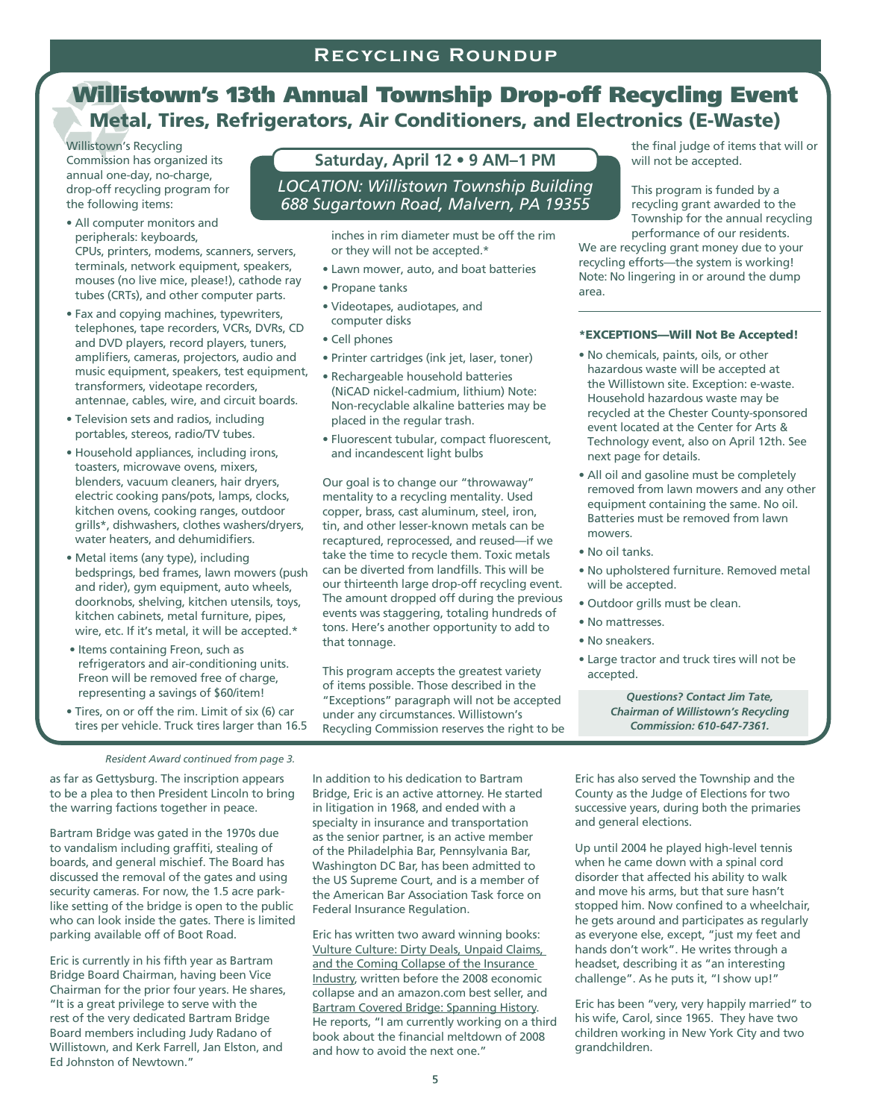# Willistown's 13th Annual Township Drop-off Recycling Event Metal, Tires, Refrigerators, Air Conditioners, and Electronics (E-Waste)

Willistown's Recycling Commission has organized its annual one-day, no-charge, drop-off recycling program for the following items:

- All computer monitors and peripherals: keyboards, CPUs, printers, modems, scanners, servers, terminals, network equipment, speakers, mouses (no live mice, please!), cathode ray tubes (CRTs), and other computer parts.
- Fax and copying machines, typewriters, telephones, tape recorders, VCRs, DVRs, CD and DVD players, record players, tuners, amplifiers, cameras, projectors, audio and music equipment, speakers, test equipment, transformers, videotape recorders, antennae, cables, wire, and circuit boards.
- Television sets and radios, including portables, stereos, radio/TV tubes.
- Household appliances, including irons, toasters, microwave ovens, mixers, blenders, vacuum cleaners, hair dryers, electric cooking pans/pots, lamps, clocks, kitchen ovens, cooking ranges, outdoor grills\*, dishwashers, clothes washers/dryers, water heaters, and dehumidifiers.
- Metal items (any type), including bedsprings, bed frames, lawn mowers (push and rider), gym equipment, auto wheels, doorknobs, shelving, kitchen utensils, toys, kitchen cabinets, metal furniture, pipes, wire, etc. If it's metal, it will be accepted.\*
- Items containing Freon, such as refrigerators and air-conditioning units. Freon will be removed free of charge, representing a savings of \$60/item!
- Tires, on or off the rim. Limit of six (6) car tires per vehicle. Truck tires larger than 16.5

## **Saturday, April 12 • 9 AM–1 PM**

#### *Location: Willistown Township Building 688 Sugartown Road, Malvern, PA 19355*

inches in rim diameter must be off the rim or they will not be accepted.\*

- Lawn mower, auto, and boat batteries
- Propane tanks
- Videotapes, audiotapes, and computer disks
- Cell phones
- Printer cartridges (ink jet, laser, toner)
- Rechargeable household batteries (NiCAD nickel-cadmium, lithium) Note: Non-recyclable alkaline batteries may be placed in the regular trash.
- Fluorescent tubular, compact fluorescent, and incandescent light bulbs

Our goal is to change our "throwaway" mentality to a recycling mentality. Used copper, brass, cast aluminum, steel, iron, tin, and other lesser-known metals can be recaptured, reprocessed, and reused—if we take the time to recycle them. Toxic metals can be diverted from landfills. This will be our thirteenth large drop-off recycling event. The amount dropped off during the previous events was staggering, totaling hundreds of tons. Here's another opportunity to add to that tonnage.

This program accepts the greatest variety of items possible. Those described in the "Exceptions" paragraph will not be accepted under any circumstances. Willistown's Recycling Commission reserves the right to be the final judge of items that will or will not be accepted.

This program is funded by a recycling grant awarded to the Township for the annual recycling performance of our residents.

We are recycling grant money due to your recycling efforts—the system is working! Note: No lingering in or around the dump area.

#### \*EXCEPTIONS—Will Not Be Accepted!

- No chemicals, paints, oils, or other hazardous waste will be accepted at the Willistown site. Exception: e-waste. Household hazardous waste may be recycled at the Chester County-sponsored event located at the Center for Arts & Technology event, also on April 12th. See next page for details.
- All oil and gasoline must be completely removed from lawn mowers and any other equipment containing the same. No oil. Batteries must be removed from lawn mowers.
- No oil tanks.
- No upholstered furniture. Removed metal will be accepted.
- Outdoor grills must be clean.
- No mattresses.
- No sneakers.
- Large tractor and truck tires will not be accepted.

*Questions? Contact Jim Tate, Chairman of Willistown's Recycling Commission: 610-647-7361.*

#### *Resident Award continued from page 3.*

as far as Gettysburg. The inscription appears to be a plea to then President Lincoln to bring the warring factions together in peace.

Bartram Bridge was gated in the 1970s due to vandalism including graffiti, stealing of boards, and general mischief. The Board has discussed the removal of the gates and using security cameras. For now, the 1.5 acre parklike setting of the bridge is open to the public who can look inside the gates. There is limited parking available off of Boot Road.

Eric is currently in his fifth year as Bartram Bridge Board Chairman, having been Vice Chairman for the prior four years. He shares, "It is a great privilege to serve with the rest of the very dedicated Bartram Bridge Board members including Judy Radano of Willistown, and Kerk Farrell, Jan Elston, and Ed Johnston of Newtown."

In addition to his dedication to Bartram Bridge, Eric is an active attorney. He started in litigation in 1968, and ended with a specialty in insurance and transportation as the senior partner, is an active member of the Philadelphia Bar, Pennsylvania Bar, Washington DC Bar, has been admitted to the US Supreme Court, and is a member of the American Bar Association Task force on Federal Insurance Regulation.

Eric has written two award winning books: Vulture Culture: Dirty Deals, Unpaid Claims, and the Coming Collapse of the Insurance Industry, written before the 2008 economic collapse and an amazon.com best seller, and Bartram Covered Bridge: Spanning History. He reports, "I am currently working on a third book about the financial meltdown of 2008 and how to avoid the next one."

Eric has also served the Township and the County as the Judge of Elections for two successive years, during both the primaries and general elections.

Up until 2004 he played high-level tennis when he came down with a spinal cord disorder that affected his ability to walk and move his arms, but that sure hasn't stopped him. Now confined to a wheelchair, he gets around and participates as regularly as everyone else, except, "just my feet and hands don't work". He writes through a headset, describing it as "an interesting challenge". As he puts it, "I show up!"

Eric has been "very, very happily married" to his wife, Carol, since 1965. They have two children working in New York City and two grandchildren.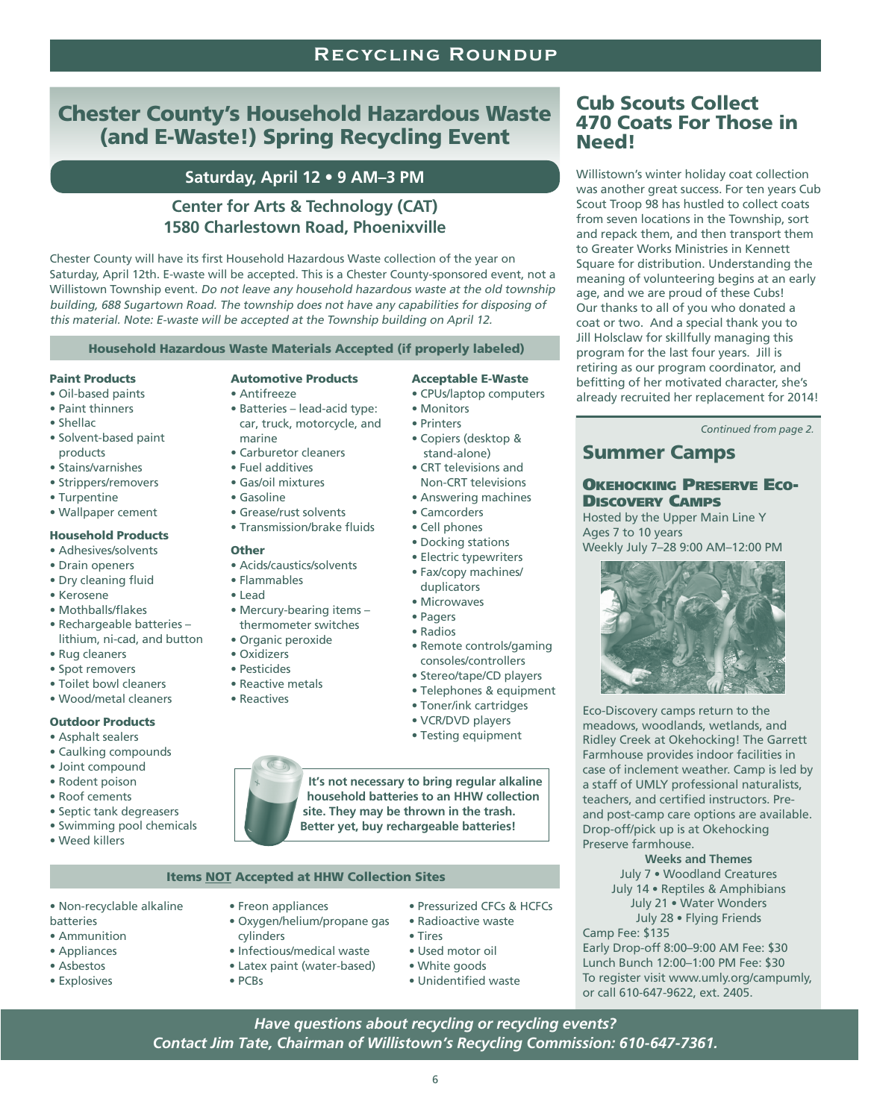#### **Recycling Roundup**

# Chester County's Household Hazardous Waste (and E-Waste!) Spring Recycling Event

## **Saturday, April 12 • 9 AM–3 PM**

## **Center for Arts & Technology (CAT) 1580 Charlestown Road, Phoenixville**

Chester County will have its first Household Hazardous Waste collection of the year on Saturday, April 12th. E-waste will be accepted. This is a Chester County-sponsored event, not a Willistown Township event. Do not leave any household hazardous waste at the old township building, 688 Sugartown Road. The township does not have any capabilities for disposing of this material. Note: E-waste will be accepted at the Township building on April 12.

Household Hazardous Waste Materials Accepted (if properly labeled)

#### Paint Products

#### • Oil-based paints

- Paint thinners
- Shellac
- Solvent-based paint products
- Stains/varnishes
- Strippers/removers
- Turpentine
- Wallpaper cement

#### Household Products

- Adhesives/solvents
- Drain openers
- Dry cleaning fluid
- Kerosene
- Mothballs/flakes
- Rechargeable batteries lithium, ni-cad, and button
- Rug cleaners
- Spot removers
- Toilet bowl cleaners
- Wood/metal cleaners

#### Outdoor Products

- Asphalt sealers
- Caulking compounds
- Joint compound
- Rodent poison
- Roof cements
- Septic tank degreasers
- Swimming pool chemicals
- Weed killers

#### Automotive Products

#### • Antifreeze

- 
- Batteries lead-acid type: car, truck, motorcycle, and
- marine
- Carburetor cleaners
- Fuel additives
- Gas/oil mixtures
- Gasoline
- Grease/rust solvents • Transmission/brake fluids

#### Other

- Acids/caustics/solvents
- Flammables
- Lead
- Mercury-bearing items –
- 
- 
- Pesticides
- Reactive metals
- Reactives
- 

• Testing equipment

consoles/controllers • Stereo/tape/CD players

**It's not necessary to bring regular alkaline household batteries to an HHW collection site. They may be thrown in the trash.** 

#### Items NOT Accepted at HHW Collection Sites

- Non-recyclable alkaline
- batteries • Ammunition
- Appliances
- Asbestos
- Explosives
- 
- Oxygen/helium/propane gas cylinders
- Infectious/medical waste

• Freon appliances

- Latex paint (water-based)
- PCBs
- Pressurized CFCs & HCFCs • Radioactive waste
	- Tires
	- Used motor oil
	- White goods
	- Unidentified waste

#### Cub Scouts Collect 470 Coats For Those in Need!

Willistown's winter holiday coat collection was another great success. For ten years Cub Scout Troop 98 has hustled to collect coats from seven locations in the Township, sort and repack them, and then transport them to Greater Works Ministries in Kennett Square for distribution. Understanding the meaning of volunteering begins at an early age, and we are proud of these Cubs! Our thanks to all of you who donated a coat or two. And a special thank you to Jill Holsclaw for skillfully managing this program for the last four years. Jill is retiring as our program coordinator, and befitting of her motivated character, she's already recruited her replacement for 2014!

*Continued from page 2.*

## Summer Camps

#### Okehocking Preserve Eco-Discovery Camps

Hosted by the Upper Main Line Y Ages 7 to 10 years Weekly July 7–28 9:00 AM–12:00 PM



Eco-Discovery camps return to the meadows, woodlands, wetlands, and Ridley Creek at Okehocking! The Garrett Farmhouse provides indoor facilities in case of inclement weather. Camp is led by a staff of UMLY professional naturalists, teachers, and certified instructors. Preand post-camp care options are available. Drop-off/pick up is at Okehocking Preserve farmhouse.

#### **Weeks and Themes**

July 7 • Woodland Creatures July 14 • Reptiles & Amphibians July 21 • Water Wonders July 28 • Flying Friends Camp Fee: \$135

Early Drop-off 8:00–9:00 AM Fee: \$30 Lunch Bunch 12:00–1:00 PM Fee: \$30 To register visit www.umly.org/campumly, or call 610-647-9622, ext. 2405.

*Have questions about recycling or recycling events? Contact Jim Tate, Chairman of Willistown's Recycling Commission: 610-647-7361.*

- Telephones & equipment • Toner/ink cartridges • VCR/DVD players
- 
- **Better yet, buy rechargeable batteries!**

• Microwaves • Pagers • Radios • Remote controls/gaming

• Camcorders • Cell phones • Docking stations • Electric typewriters • Fax/copy machines/

Acceptable E-Waste • CPUs/laptop computers

• Copiers (desktop & stand-alone) • CRT televisions and Non-CRT televisions • Answering machines

• Monitors • Printers

# duplicators

- thermometer switches
- Organic peroxide
- Oxidizers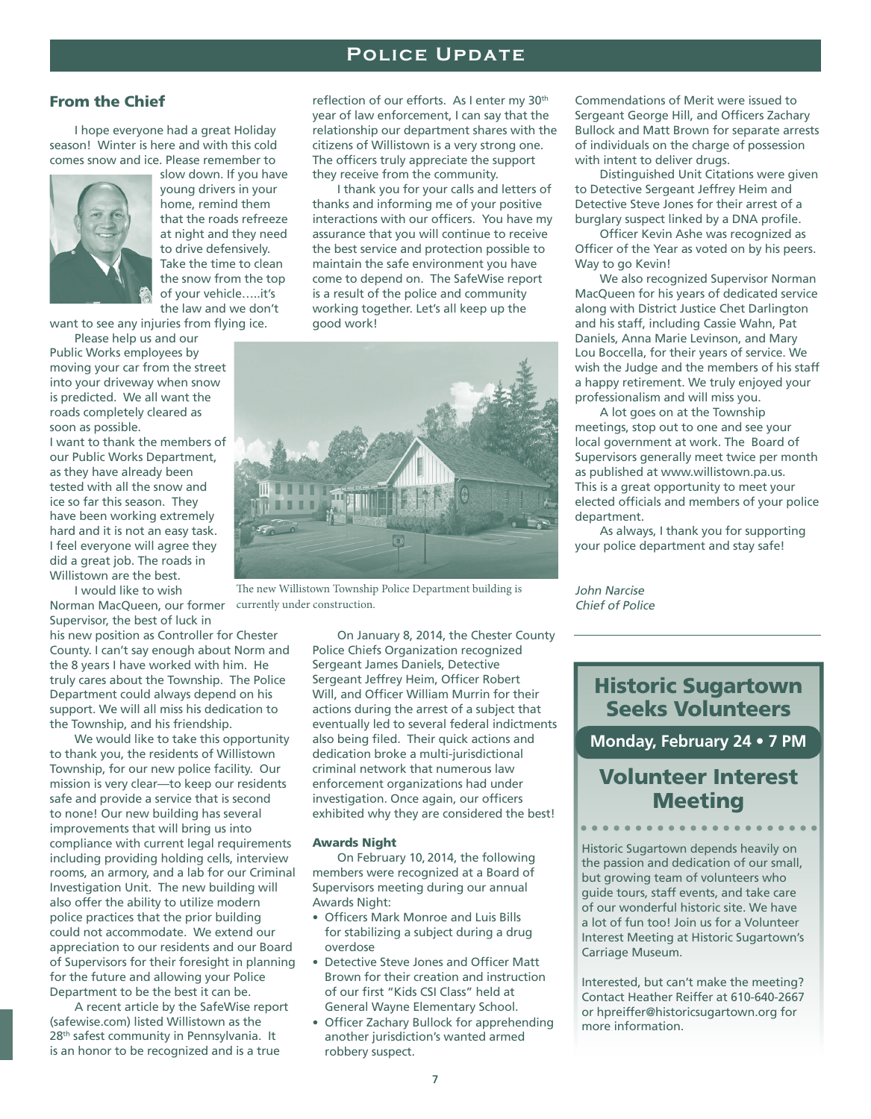## **Recycling Roundup Police Update**

#### From the Chief

I hope everyone had a great Holiday season! Winter is here and with this cold comes snow and ice. Please remember to



slow down. If you have young drivers in your home, remind them that the roads refreeze at night and they need to drive defensively. Take the time to clean the snow from the top of your vehicle…..it's the law and we don't

want to see any injuries from flying ice.

Please help us and our Public Works employees by moving your car from the street into your driveway when snow is predicted. We all want the roads completely cleared as soon as possible.

I want to thank the members of our Public Works Department, as they have already been tested with all the snow and ice so far this season. They have been working extremely hard and it is not an easy task. I feel everyone will agree they did a great job. The roads in Willistown are the best.

I would like to wish Norman MacQueen, our former currently under construction. Supervisor, the best of luck in

his new position as Controller for Chester County. I can't say enough about Norm and the 8 years I have worked with him. He truly cares about the Township. The Police Department could always depend on his support. We will all miss his dedication to the Township, and his friendship.

We would like to take this opportunity to thank you, the residents of Willistown Township, for our new police facility. Our mission is very clear—to keep our residents safe and provide a service that is second to none! Our new building has several improvements that will bring us into compliance with current legal requirements including providing holding cells, interview rooms, an armory, and a lab for our Criminal Investigation Unit. The new building will also offer the ability to utilize modern police practices that the prior building could not accommodate. We extend our appreciation to our residents and our Board of Supervisors for their foresight in planning for the future and allowing your Police Department to be the best it can be.

A recent article by the SafeWise report (safewise.com) listed Willistown as the 28<sup>th</sup> safest community in Pennsylvania. It is an honor to be recognized and is a true

reflection of our efforts. As I enter my 30<sup>th</sup> year of law enforcement, I can say that the relationship our department shares with the citizens of Willistown is a very strong one. The officers truly appreciate the support they receive from the community.

I thank you for your calls and letters of thanks and informing me of your positive interactions with our officers. You have my assurance that you will continue to receive the best service and protection possible to maintain the safe environment you have come to depend on. The SafeWise report is a result of the police and community working together. Let's all keep up the good work!



The new Willistown Township Police Department building is

On January 8, 2014, the Chester County Police Chiefs Organization recognized Sergeant James Daniels, Detective Sergeant Jeffrey Heim, Officer Robert Will, and Officer William Murrin for their actions during the arrest of a subject that eventually led to several federal indictments also being filed. Their quick actions and dedication broke a multi-jurisdictional criminal network that numerous law enforcement organizations had under investigation. Once again, our officers exhibited why they are considered the best!

#### Awards Night

On February 10, 2014, the following members were recognized at a Board of Supervisors meeting during our annual Awards Night:

- Officers Mark Monroe and Luis Bills for stabilizing a subject during a drug overdose
- Detective Steve Jones and Officer Matt Brown for their creation and instruction of our first "Kids CSI Class" held at General Wayne Elementary School.
- Officer Zachary Bullock for apprehending another jurisdiction's wanted armed robbery suspect.

Commendations of Merit were issued to Sergeant George Hill, and Officers Zachary Bullock and Matt Brown for separate arrests of individuals on the charge of possession with intent to deliver drugs.

Distinguished Unit Citations were given to Detective Sergeant Jeffrey Heim and Detective Steve Jones for their arrest of a burglary suspect linked by a DNA profile.

Officer Kevin Ashe was recognized as Officer of the Year as voted on by his peers. Way to go Kevin!

We also recognized Supervisor Norman MacQueen for his years of dedicated service along with District Justice Chet Darlington and his staff, including Cassie Wahn, Pat Daniels, Anna Marie Levinson, and Mary Lou Boccella, for their years of service. We wish the Judge and the members of his staff a happy retirement. We truly enjoyed your professionalism and will miss you.

A lot goes on at the Township meetings, stop out to one and see your local government at work. The Board of Supervisors generally meet twice per month as published at www.willistown.pa.us. This is a great opportunity to meet your elected officials and members of your police department.

As always, I thank you for supporting your police department and stay safe!

John Narcise Chief of Police

## Historic Sugartown Seeks Volunteers

**Monday, February 24 • 7 PM**

## Volunteer Interest Meeting

Historic Sugartown depends heavily on the passion and dedication of our small, but growing team of volunteers who guide tours, staff events, and take care of our wonderful historic site. We have a lot of fun too! Join us for a Volunteer Interest Meeting at Historic Sugartown's Carriage Museum.

Interested, but can't make the meeting? Contact Heather Reiffer at 610-640-2667 or hpreiffer@historicsugartown.org for more information.